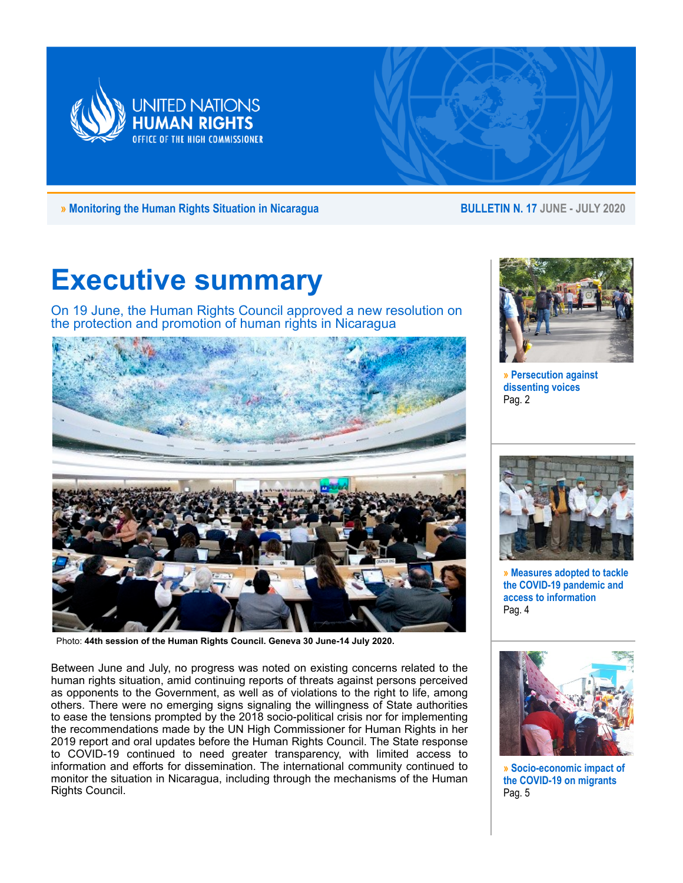

**» Monitoring the Human Rights Situation in Nicaragua BULLETIN N. 17 JUNE - JULY 2020**

# **Executive summary**

On 19 June, the Human Rights Council approved a new resolution on the protection and promotion of human rights in Nicaragua



Photo: **44th session of the Human Rights Council. Geneva 30 June-14 July 2020.**

Between June and July, no progress was noted on existing concerns related to the human rights situation, amid continuing reports of threats against persons perceived as opponents to the Government, as well as of violations to the right to life, among others. There were no emerging signs signaling the willingness of State authorities to ease the tensions prompted by the 2018 socio-political crisis nor for implementing the recommendations made by the UN High Commissioner for Human Rights in her 2019 report and oral updates before the Human Rights Council. The State response to COVID-19 continued to need greater transparency, with limited access to information and efforts for dissemination. The international community continued to monitor the situation in Nicaragua, including through the mechanisms of the Human Rights Council.



**» Persecution against dissenting voices** Pag. 2



**» Measures adopted to tackle the COVID-19 pandemic and access to information** Pag. 4



**» Socio-economic impact of the COVID-19 on migrants** Pag. 5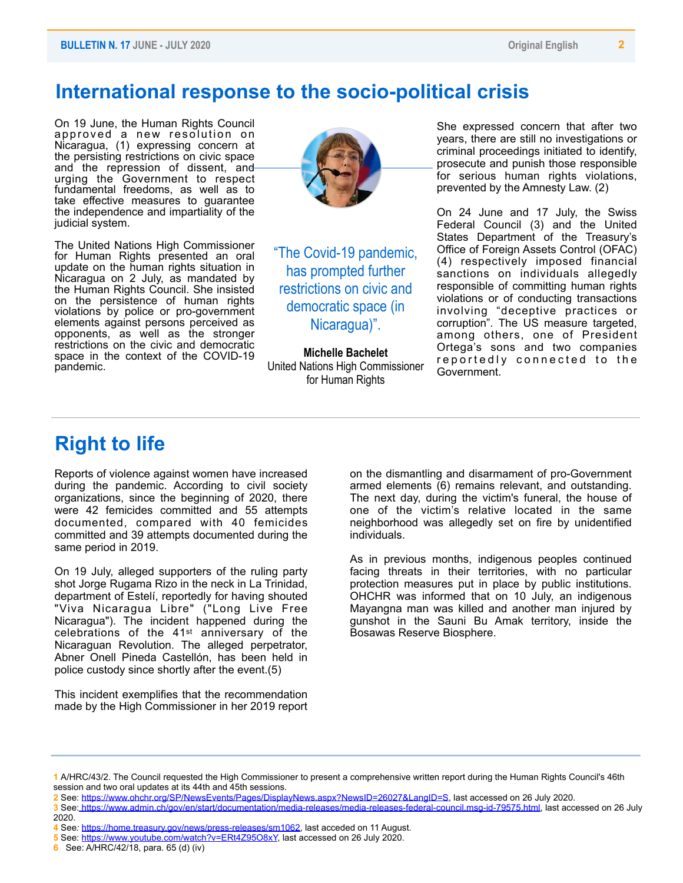### **International response to the socio-political crisis**

On 19 June, the Human Rights Council approved a new resolution on Nicaragua, (1) expressing concern at the persisting restrictions on civic space and the repression of dissent, and urging the Government to respect fundamental freedoms, as well as to take effective measures to guarantee the independence and impartiality of the judicial system.

The United Nations High Commissioner for Human Rights presented an oral update on the human rights situation in Nicaragua on 2 July, as mandated by the Human Rights Council. She insisted on the persistence of human rights violations by police or pro-government elements against persons perceived as opponents, as well as the stronger restrictions on the civic and democratic space in the context of the COVID-19 pandemic.



"The Covid-19 pandemic, has prompted further restrictions on civic and democratic space (in Nicaragua)".

**Michelle Bachelet** United Nations High Commissioner for Human Rights

She expressed concern that after two years, there are still no investigations or criminal proceedings initiated to identify, prosecute and punish those responsible for serious human rights violations, prevented by the Amnesty Law. (2)

On 24 June and 17 July, the Swiss Federal Council (3) and the United States Department of the Treasury's Office of Foreign Assets Control (OFAC) (4) respectively imposed financial sanctions on individuals allegedly responsible of committing human rights violations or of conducting transactions involving "deceptive practices or corruption". The US measure targeted, among others, one of President Ortega's sons and two companies reportedly connected to the Government.

## **Right to life**

Reports of violence against women have increased during the pandemic. According to civil society organizations, since the beginning of 2020, there were 42 femicides committed and 55 attempts documented, compared with 40 femicides committed and 39 attempts documented during the same period in 2019.

On 19 July, alleged supporters of the ruling party shot Jorge Rugama Rizo in the neck in La Trinidad, department of Estelí, reportedly for having shouted "Viva Nicaragua Libre" ("Long Live Free Nicaragua"). The incident happened during the celebrations of the 41st anniversary of the Nicaraguan Revolution. The alleged perpetrator, Abner Onell Pineda Castellón, has been held in police custody since shortly after the event.(5)

This incident exemplifies that the recommendation made by the High Commissioner in her 2019 report on the dismantling and disarmament of pro-Government armed elements (6) remains relevant, and outstanding. The next day, during the victim's funeral, the house of one of the victim's relative located in the same neighborhood was allegedly set on fire by unidentified individuals.

As in previous months, indigenous peoples continued facing threats in their territories, with no particular protection measures put in place by public institutions. OHCHR was informed that on 10 July, an indigenous Mayangna man was killed and another man injured by gunshot in the Sauni Bu Amak territory, inside the Bosawas Reserve Biosphere.

**<sup>1</sup>** A/HRC/43/2. The Council requested the High Commissioner to present a comprehensive written report during the Human Rights Council's 46th session and two oral updates at its 44th and 45th sessions.

**<sup>2</sup>** See:<https://www.ohchr.org/SP/NewsEvents/Pages/DisplayNews.aspx?NewsID=26027&LangID=S>, last accessed on 26 July 2020.

**<sup>3</sup>** See: https://www.admin.ch/gov/en/start/documentation/media-releases/media-releases-federal-council.msg-id-79575.html, last accessed on 26 July 2020.

**<sup>4</sup>** See*:* <https://home.treasury.gov/news/press-releases/sm1062>, last acceded on 11 August.

**<sup>5</sup>** See: [https://www.youtube.com/watch?v=ERt4Z95O8xY,](https://www.youtube.com/watch?v=ERt4Z95O8xY) last accessed on 26 July 2020.

**<sup>6</sup>** See: A/HRC/42/18, para. 65 (d) (iv)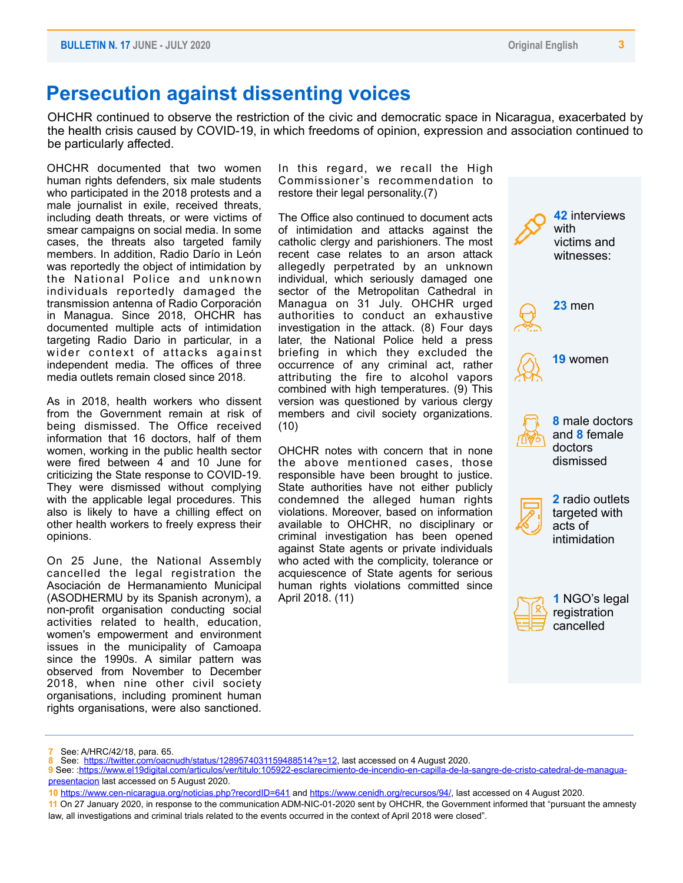### **Persecution against dissenting voices**

OHCHR continued to observe the restriction of the civic and democratic space in Nicaragua, exacerbated by the health crisis caused by COVID-19, in which freedoms of opinion, expression and association continued to be particularly affected.

OHCHR documented that two women human rights defenders, six male students who participated in the 2018 protests and a male journalist in exile, received threats, including death threats, or were victims of smear campaigns on social media. In some cases, the threats also targeted family members. In addition, Radio Darío in León was reportedly the object of intimidation by the National Police and unknown individuals reportedly damaged the transmission antenna of Radio Corporación in Managua. Since 2018, OHCHR has documented multiple acts of intimidation targeting Radio Dario in particular, in a wider context of attacks against independent media. The offices of three media outlets remain closed since 2018.

As in 2018, health workers who dissent from the Government remain at risk of being dismissed. The Office received information that 16 doctors, half of them women, working in the public health sector were fired between 4 and 10 June for criticizing the State response to COVID-19. They were dismissed without complying with the applicable legal procedures. This also is likely to have a chilling effect on other health workers to freely express their opinions.

On 25 June, the National Assembly cancelled the legal registration the Asociación de Hermanamiento Municipal (ASODHERMU by its Spanish acronym), a non-profit organisation conducting social activities related to health, education, women's empowerment and environment issues in the municipality of Camoapa since the 1990s. A similar pattern was observed from November to December 2018, when nine other civil society organisations, including prominent human rights organisations, were also sanctioned.

In this regard, we recall the High Commissioner's recommendation to restore their legal personality.(7)

The Office also continued to document acts of intimidation and attacks against the catholic clergy and parishioners. The most recent case relates to an arson attack allegedly perpetrated by an unknown individual, which seriously damaged one sector of the Metropolitan Cathedral in Managua on 31 July. OHCHR urged authorities to conduct an exhaustive investigation in the attack. (8) Four days later, the National Police held a press briefing in which they excluded the occurrence of any criminal act, rather attributing the fire to alcohol vapors combined with high temperatures. (9) This version was questioned by various clergy members and civil society organizations. (10)

OHCHR notes with concern that in none the above mentioned cases, those responsible have been brought to justice. State authorities have not either publicly condemned the alleged human rights violations. Moreover, based on information available to OHCHR, no disciplinary or criminal investigation has been opened against State agents or private individuals who acted with the complicity, tolerance or acquiescence of State agents for serious human rights violations committed since April 2018. (11)



**<sup>7</sup>** See: A/HRC/42/18, para. 65.

**<sup>8</sup>** See: <https://twitter.com/oacnudh/status/1289574031159488514?s=12>, last accessed on 4 August 2020.

**<sup>9</sup>** See: :[https://www.el19digital.com/articulos/ver/titulo:105922-esclarecimiento-de-incendio-en-capilla-de-la-sangre-de-cristo-catedral-de-managua](https://www.el19digital.com/articulos/ver/titulo:105922-esclarecimiento-de-incendio-en-capilla-de-la-sangre-de-cristo-catedral-de-managua-presentacion)[presentacion last accessed on 5 August 2020.](https://www.el19digital.com/articulos/ver/titulo:105922-esclarecimiento-de-incendio-en-capilla-de-la-sangre-de-cristo-catedral-de-managua-presentacion) 

**<sup>10</sup>** <https://www.cen-nicaragua.org/noticias.php?recordID=641> and [https://www.cenidh.org/recursos/94/,](https://www.cenidh.org/recursos/94/) last accessed on 4 August 2020.

**<sup>11</sup>** On 27 January 2020, in response to the communication ADM-NIC-01-2020 sent by OHCHR, the Government informed that "pursuant the amnesty law, all investigations and criminal trials related to the events occurred in the context of April 2018 were closed".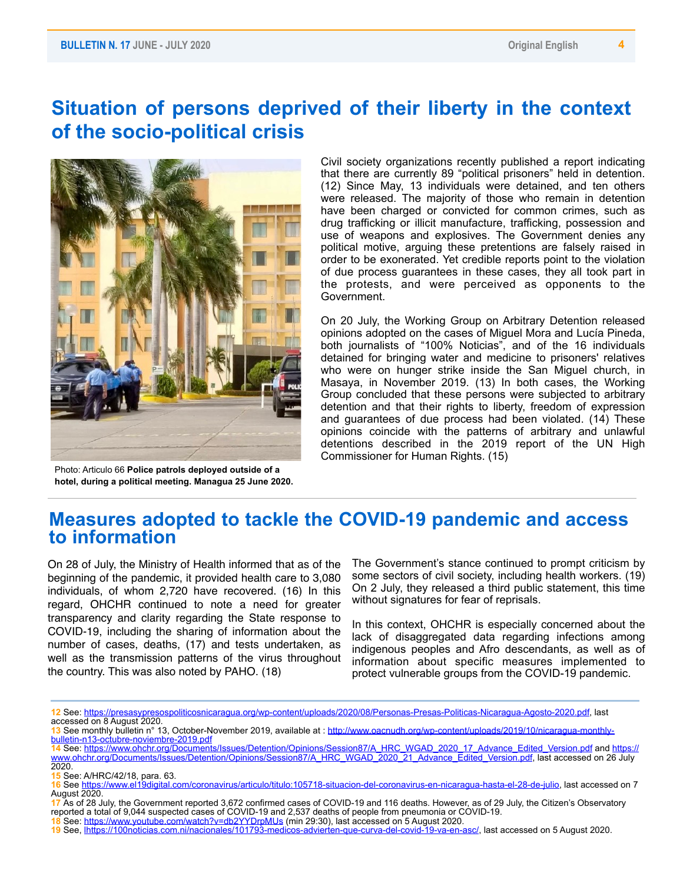### **Situation of persons deprived of their liberty in the context of the socio-political crisis**



Photo: Articulo 66 **Police patrols deployed outside of a hotel, during a political meeting. Managua 25 June 2020.**

Civil society organizations recently published a report indicating that there are currently 89 "political prisoners" held in detention. (12) Since May, 13 individuals were detained, and ten others were released. The majority of those who remain in detention have been charged or convicted for common crimes, such as drug trafficking or illicit manufacture, trafficking, possession and use of weapons and explosives. The Government denies any political motive, arguing these pretentions are falsely raised in order to be exonerated. Yet credible reports point to the violation of due process guarantees in these cases, they all took part in the protests, and were perceived as opponents to the Government.

On 20 July, the Working Group on Arbitrary Detention released opinions adopted on the cases of Miguel Mora and Lucía Pineda, both journalists of "100% Noticias", and of the 16 individuals detained for bringing water and medicine to prisoners' relatives who were on hunger strike inside the San Miguel church, in Masaya, in November 2019. (13) In both cases, the Working Group concluded that these persons were subjected to arbitrary detention and that their rights to liberty, freedom of expression and guarantees of due process had been violated. (14) These opinions coincide with the patterns of arbitrary and unlawful detentions described in the 2019 report of the UN High Commissioner for Human Rights. (15)

#### **Measures adopted to tackle the COVID-19 pandemic and access to information**

On 28 of July, the Ministry of Health informed that as of the beginning of the pandemic, it provided health care to 3,080 individuals, of whom 2,720 have recovered. (16) In this regard, OHCHR continued to note a need for greater transparency and clarity regarding the State response to COVID-19, including the sharing of information about the number of cases, deaths, (17) and tests undertaken, as well as the transmission patterns of the virus throughout the country. This was also noted by PAHO. (18)

The Government's stance continued to prompt criticism by some sectors of civil society, including health workers. (19) On 2 July, they released a third public statement, this time without signatures for fear of reprisals.

In this context, OHCHR is especially concerned about the lack of disaggregated data regarding infections among indigenous peoples and Afro descendants, as well as of information about specific measures implemented to protect vulnerable groups from the COVID-19 pandemic.

**<sup>12</sup>** See: [https://presasypresospoliticosnicaragua.org/wp-content/uploads/2020/08/Personas-Presas-Politicas-Nicaragua-Agosto-2020.pdf,](https://presasypresospoliticosnicaragua.org/wp-content/uploads/2020/08/Personas-Presas-Politicas-Nicaragua-Agosto-2020.pdf) last accessed on 8 August 2020.

**<sup>13</sup>** See monthly bulletin n° 13, October-November 2019, available at : [http://www.oacnudh.org/wp-content/uploads/2019/10/nicaragua-monthly](http://www.oacnudh.org/wp-content/uploads/2019/10/nicaragua-monthly-bulletin-n13-octubre-noviembre-2019.pdf)[bulletin-n13-octubre-noviembre-2019.pdf](http://www.oacnudh.org/wp-content/uploads/2019/10/nicaragua-monthly-bulletin-n13-octubre-noviembre-2019.pdf)

**<sup>14</sup>** See: [https://www.ohchr.org/Documents/Issues/Detention/Opinions/Session87/A\\_HRC\\_WGAD\\_2020\\_17\\_Advance\\_Edited\\_Version.pdf](https://www.ohchr.org/Documents/Issues/Detention/Opinions/Session87/A_HRC_WGAD_2020_17_Advance_Edited_Version.pdf) and [https://](https://www.ohchr.org/Documents/Issues/Detention/Opinions/Session87/A_HRC_WGAD_2020_21_Advance_Edited_Version.pdf) [www.ohchr.org/Documents/Issues/Detention/Opinions/Session87/A\\_HRC\\_WGAD\\_2020\\_21\\_Advance\\_Edited\\_Version.pdf,](https://www.ohchr.org/Documents/Issues/Detention/Opinions/Session87/A_HRC_WGAD_2020_21_Advance_Edited_Version.pdf) last accessed on 26 July 2020.

**<sup>15</sup>** See: A/HRC/42/18, para. 63.

**<sup>16</sup>** See [https://www.el19digital.com/coronavirus/articulo/titulo:105718-situacion-del-coronavirus-en-nicaragua-hasta-el-28-de-julio,](https://www.el19digital.com/coronavirus/articulo/titulo:105718-situacion-del-coronavirus-en-nicaragua-hasta-el-28-de-julio) last accessed on 7 August 2020.

**<sup>17</sup>** As of 28 July, the Government reported 3,672 confirmed cases of COVID-19 and 116 deaths. However, as of 29 July, the Citizen's Observatory reported a total of 9,044 suspected cases of COVID-19 and 2,537 deaths of people from pneumonia or COVID-19.

**<sup>18</sup>** See: <https://www.youtube.com/watch?v=db2YYDrpMUs> (min 29:30), last accessed on 5 August 2020.

**<sup>19</sup>** See, [lhttps://100noticias.com.ni/nacionales/101793-medicos-advierten-que-curva-del-covid-19-va-en-asc/](https://100noticias.com.ni/nacionales/101793-medicos-advierten-que-curva-del-covid-19-va-en-asc/), last accessed on 5 August 2020.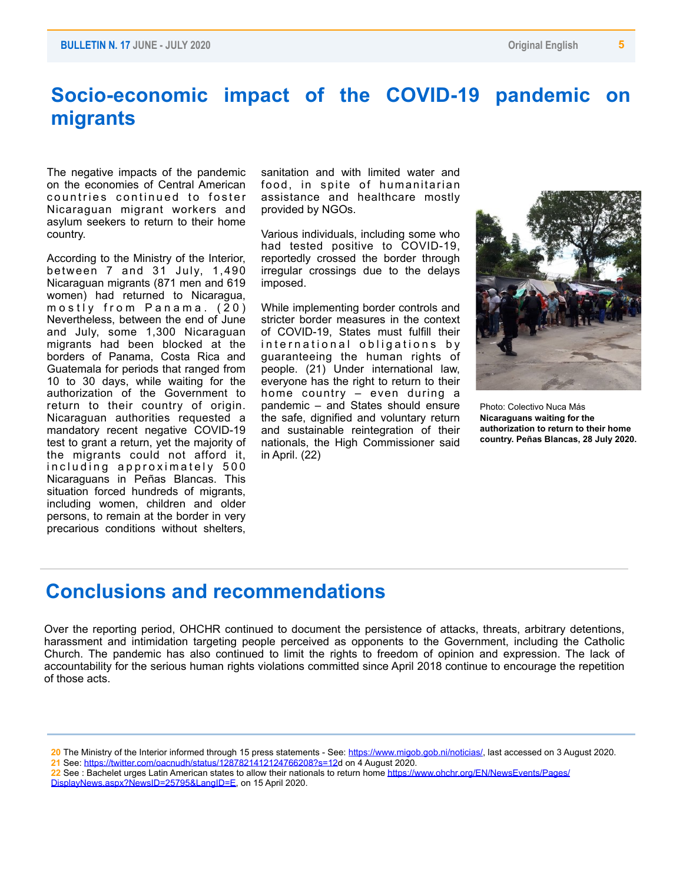## **Socio-economic impact of the COVID-19 pandemic on migrants**

The negative impacts of the pandemic on the economies of Central American countries continued to foster Nicaraguan migrant workers and asylum seekers to return to their home country.

According to the Ministry of the Interior, between 7 and 31 July, 1,490 Nicaraguan migrants (871 men and 619 women) had returned to Nicaragua, mostly from Panama.  $(20)$ Nevertheless, between the end of June and July, some 1,300 Nicaraguan migrants had been blocked at the borders of Panama, Costa Rica and Guatemala for periods that ranged from 10 to 30 days, while waiting for the authorization of the Government to return to their country of origin. Nicaraguan authorities requested a mandatory recent negative COVID-19 test to grant a return, yet the majority of the migrants could not afford it, including approximately 500 Nicaraguans in Peñas Blancas. This situation forced hundreds of migrants, including women, children and older persons, to remain at the border in very precarious conditions without shelters,

sanitation and with limited water and food, in spite of humanitarian assistance and healthcare mostly provided by NGOs.

Various individuals, including some who had tested positive to COVID-19, reportedly crossed the border through irregular crossings due to the delays imposed.

While implementing border controls and stricter border measures in the context of COVID-19, States must fulfill their international obligations by guaranteeing the human rights of people. (21) Under international law, everyone has the right to return to their home country – even during a pandemic – and States should ensure the safe, dignified and voluntary return and sustainable reintegration of their nationals, the High Commissioner said in April. (22)



Photo: Colectivo Nuca Más **Nicaraguans waiting for the authorization to return to their home country. Peñas Blancas, 28 July 2020.**

#### **Conclusions and recommendations**

Over the reporting period, OHCHR continued to document the persistence of attacks, threats, arbitrary detentions, harassment and intimidation targeting people perceived as opponents to the Government, including the Catholic Church. The pandemic has also continued to limit the rights to freedom of opinion and expression. The lack of accountability for the serious human rights violations committed since April 2018 continue to encourage the repetition of those acts.

- **21** See: <https://twitter.com/oacnudh/status/1287821412124766208?s=12>d on 4 August 2020.
- **22** See : Bachelet urges Latin American states to allow their nationals to return home [https://www.ohchr.org/EN/NewsEvents/Pages/](https://www.ohchr.org/EN/NewsEvents/Pages/DisplayNews.aspx?NewsID=25795&LangID=E) [DisplayNews.aspx?NewsID=25795&LangID=E,](https://www.ohchr.org/EN/NewsEvents/Pages/DisplayNews.aspx?NewsID=25795&LangID=E) on 15 April 2020.

**<sup>20</sup>** The Ministry of the Interior informed through 15 press statements - See: [https://www.migob.gob.ni/noticias/,](https://www.migob.gob.ni/noticias/) last accessed on 3 August 2020.